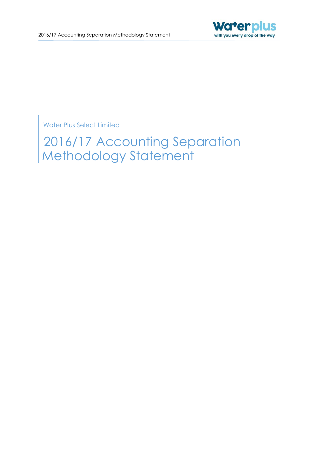

Water Plus Select Limited

2016/17 Accounting Separation Methodology Statement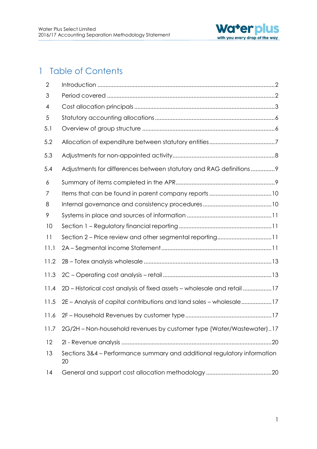

# 1 Table of Contents

| $\overline{2}$ |                                                                                |
|----------------|--------------------------------------------------------------------------------|
| 3              |                                                                                |
| 4              |                                                                                |
| 5              |                                                                                |
| 5.1            |                                                                                |
| 5.2            |                                                                                |
| 5.3            |                                                                                |
| 5.4            | Adjustments for differences between statutory and RAG definitions9             |
| 6              |                                                                                |
| 7              |                                                                                |
| 8              |                                                                                |
| 9              |                                                                                |
| 10             |                                                                                |
| 11             | Section 2 - Price review and other segmental reporting11                       |
| 11.1           |                                                                                |
| 11.2           |                                                                                |
| 11.3           |                                                                                |
| 11.4           | 2D - Historical cost analysis of fixed assets - wholesale and retail 17        |
| 11.5           | 2E - Analysis of capital contributions and land sales - wholesale17            |
| 11.6           |                                                                                |
| 11.7           | 2G/2H - Non-household revenues by customer type (Water/Wastewater)17           |
| 12             |                                                                                |
| 13             | Sections 3&4 - Performance summary and additional regulatory information<br>20 |
| 14             |                                                                                |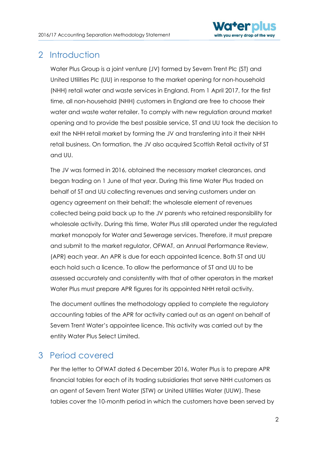

# <span id="page-2-0"></span>2 Introduction

Water Plus Group is a joint venture (JV) formed by Severn Trent Plc (ST) and United Utilities Plc (UU) in response to the market opening for non-household (NHH) retail water and waste services in England. From 1 April 2017, for the first time, all non-household (NHH) customers in England are free to choose their water and waste water retailer. To comply with new regulation around market opening and to provide the best possible service, ST and UU took the decision to exit the NHH retail market by forming the JV and transferring into it their NHH retail business. On formation, the JV also acquired Scottish Retail activity of ST and UU.

The JV was formed in 2016, obtained the necessary market clearances, and began trading on 1 June of that year. During this time Water Plus traded on behalf of ST and UU collecting revenues and serving customers under an agency agreement on their behalf; the wholesale element of revenues collected being paid back up to the JV parents who retained responsibility for wholesale activity. During this time, Water Plus still operated under the regulated market monopoly for Water and Sewerage services. Therefore, it must prepare and submit to the market regulator, OFWAT, an Annual Performance Review, (APR) each year. An APR is due for each appointed licence. Both ST and UU each hold such a licence. To allow the performance of ST and UU to be assessed accurately and consistently with that of other operators in the market Water Plus must prepare APR figures for its appointed NHH retail activity.

The document outlines the methodology applied to complete the regulatory accounting tables of the APR for activity carried out as an agent on behalf of Severn Trent Water's appointee licence. This activity was carried out by the entity Water Plus Select Limited.

# <span id="page-2-1"></span>3 Period covered

Per the letter to OFWAT dated 6 December 2016, Water Plus is to prepare APR financial tables for each of its trading subsidiaries that serve NHH customers as an agent of Severn Trent Water (STW) or United Utilities Water (UUW). These tables cover the 10-month period in which the customers have been served by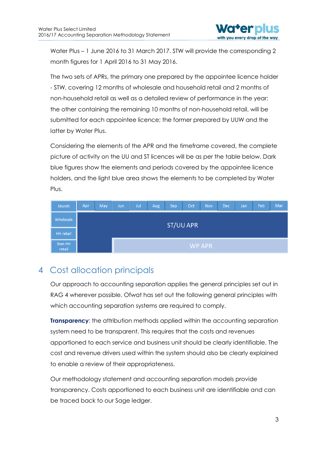

Water Plus – 1 June 2016 to 31 March 2017. STW will provide the corresponding 2 month figures for 1 April 2016 to 31 May 2016.

The two sets of APRs, the primary one prepared by the appointee licence holder - STW, covering 12 months of wholesale and household retail and 2 months of non-household retail as well as a detailed review of performance in the year; the other containing the remaining 10 months of non-household retail, will be submitted for each appointee licence; the former prepared by UUW and the latter by Water Plus.

Considering the elements of the APR and the timeframe covered, the complete picture of activity on the UU and ST licences will be as per the table below. Dark blue figures show the elements and periods covered by the appointee licence holders, and the light blue area shows the elements to be completed by Water Plus.

| Month            | Apr              | May | Jun | Jul | Aug | Sep | Oct | Nov    | Dec | Jan/ | Feb | Mar |
|------------------|------------------|-----|-----|-----|-----|-----|-----|--------|-----|------|-----|-----|
| Wholesale        | <b>ST/UU APR</b> |     |     |     |     |     |     |        |     |      |     |     |
| <b>HH</b> retail |                  |     |     |     |     |     |     |        |     |      |     |     |
| Non HH<br>retail |                  |     |     |     |     |     |     | WP APR |     |      |     |     |

# <span id="page-3-0"></span>4 Cost allocation principals

Our approach to accounting separation applies the general principles set out in RAG 4 wherever possible. Ofwat has set out the following general principles with which accounting separation systems are required to comply.

**Transparency:** the attribution methods applied within the accounting separation system need to be transparent. This requires that the costs and revenues apportioned to each service and business unit should be clearly identifiable. The cost and revenue drivers used within the system should also be clearly explained to enable a review of their appropriateness.

Our methodology statement and accounting separation models provide transparency. Costs apportioned to each business unit are identifiable and can be traced back to our Sage ledger.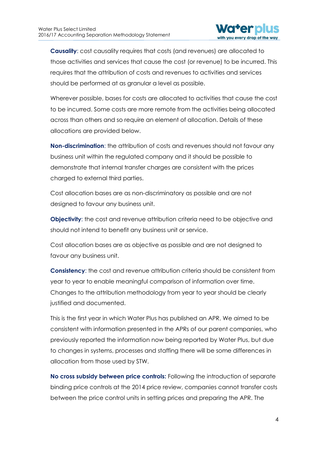

**Causality**: cost causality requires that costs (and revenues) are allocated to those activities and services that cause the cost (or revenue) to be incurred. This requires that the attribution of costs and revenues to activities and services should be performed at as granular a level as possible.

Wherever possible, bases for costs are allocated to activities that cause the cost to be incurred. Some costs are more remote from the activities being allocated across than others and so require an element of allocation. Details of these allocations are provided below.

**Non-discrimination**: the attribution of costs and revenues should not favour any business unit within the regulated company and it should be possible to demonstrate that internal transfer charges are consistent with the prices charged to external third parties.

Cost allocation bases are as non-discriminatory as possible and are not designed to favour any business unit.

**Objectivity:** the cost and revenue attribution criteria need to be objective and should not intend to benefit any business unit or service.

Cost allocation bases are as objective as possible and are not designed to favour any business unit.

**Consistency**: the cost and revenue attribution criteria should be consistent from year to year to enable meaningful comparison of information over time. Changes to the attribution methodology from year to year should be clearly justified and documented.

This is the first year in which Water Plus has published an APR. We aimed to be consistent with information presented in the APRs of our parent companies, who previously reported the information now being reported by Water Plus, but due to changes in systems, processes and staffing there will be some differences in allocation from those used by STW.

**No cross subsidy between price controls:** Following the introduction of separate binding price controls at the 2014 price review, companies cannot transfer costs between the price control units in setting prices and preparing the APR. The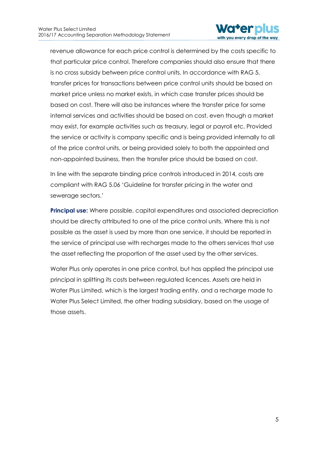

revenue allowance for each price control is determined by the costs specific to that particular price control. Therefore companies should also ensure that there is no cross subsidy between price control units. In accordance with RAG 5, transfer prices for transactions between price control units should be based on market price unless no market exists, in which case transfer prices should be based on cost. There will also be instances where the transfer price for some internal services and activities should be based on cost, even though a market may exist, for example activities such as treasury, legal or payroll etc. Provided the service or activity is company specific and is being provided internally to all of the price control units, or being provided solely to both the appointed and non-appointed business, then the transfer price should be based on cost.

In line with the separate binding price controls introduced in 2014, costs are compliant with RAG 5.06 'Guideline for transfer pricing in the water and sewerage sectors.'

**Principal use:** Where possible, capital expenditures and associated depreciation should be directly attributed to one of the price control units. Where this is not possible as the asset is used by more than one service, it should be reported in the service of principal use with recharges made to the others services that use the asset reflecting the proportion of the asset used by the other services.

Water Plus only operates in one price control, but has applied the principal use principal in splitting its costs between regulated licences. Assets are held in Water Plus Limited, which is the largest trading entity, and a recharge made to Water Plus Select Limited, the other trading subsidiary, based on the usage of those assets.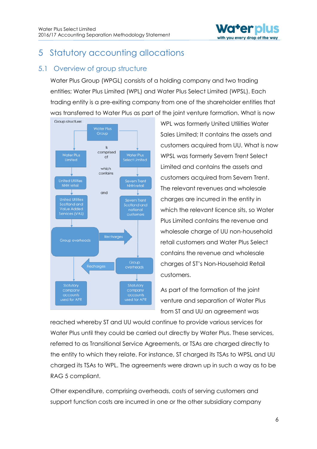

# <span id="page-6-0"></span>5 Statutory accounting allocations

# <span id="page-6-1"></span>5.1 Overview of group structure

Water Plus Group (WPGL) consists of a holding company and two trading entities; Water Plus Limited (WPL) and Water Plus Select Limited (WPSL). Each trading entity is a pre-exiting company from one of the shareholder entities that was transferred to Water Plus as part of the joint venture formation. What is now



WPL was formerly United Utilities Water Sales Limited; It contains the assets and customers acquired from UU. What is now WPSL was formerly Severn Trent Select Limited and contains the assets and customers acquired from Severn Trent. The relevant revenues and wholesale charges are incurred in the entity in which the relevant licence sits, so Water Plus Limited contains the revenue and wholesale charge of UU non-household retail customers and Water Plus Select contains the revenue and wholesale charges of ST's Non-Household Retail customers.

As part of the formation of the joint venture and separation of Water Plus from ST and UU an agreement was

reached whereby ST and UU would continue to provide various services for Water Plus until they could be carried out directly by Water Plus. These services, referred to as Transitional Service Agreements, or TSAs are charged directly to the entity to which they relate. For instance, ST charged its TSAs to WPSL and UU charged its TSAs to WPL. The agreements were drawn up in such a way as to be RAG 5 compliant.

Other expenditure, comprising overheads, costs of serving customers and support function costs are incurred in one or the other subsidiary company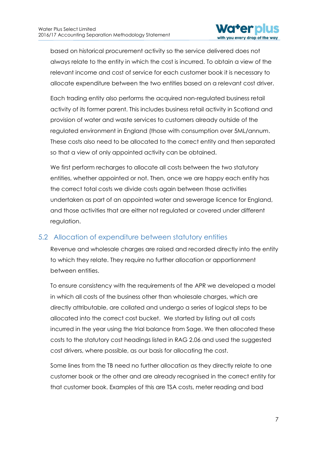

based on historical procurement activity so the service delivered does not always relate to the entity in which the cost is incurred. To obtain a view of the relevant income and cost of service for each customer book it is necessary to allocate expenditure between the two entities based on a relevant cost driver.

Each trading entity also performs the acquired non-regulated business retail activity of its former parent. This includes business retail activity in Scotland and provision of water and waste services to customers already outside of the regulated environment in England (those with consumption over 5ML/annum. These costs also need to be allocated to the correct entity and then separated so that a view of only appointed activity can be obtained.

We first perform recharges to allocate all costs between the two statutory entities, whether appointed or not. Then, once we are happy each entity has the correct total costs we divide costs again between those activities undertaken as part of an appointed water and sewerage licence for England, and those activities that are either not regulated or covered under different regulation.

### <span id="page-7-0"></span>5.2 Allocation of expenditure between statutory entities

Revenue and wholesale charges are raised and recorded directly into the entity to which they relate. They require no further allocation or apportionment between entities.

To ensure consistency with the requirements of the APR we developed a model in which all costs of the business other than wholesale charges, which are directly attributable, are collated and undergo a series of logical steps to be allocated into the correct cost bucket. We started by listing out all costs incurred in the year using the trial balance from Sage. We then allocated these costs to the statutory cost headings listed in RAG 2.06 and used the suggested cost drivers, where possible, as our basis for allocating the cost.

Some lines from the TB need no further allocation as they directly relate to one customer book or the other and are already recognised in the correct entity for that customer book. Examples of this are TSA costs, meter reading and bad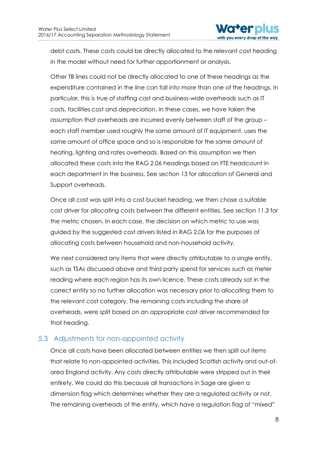

debt costs. These costs could be directly allocated to the relevant cost heading in the model without need for further apportionment or analysis.

Other TB lines could not be directly allocated to one of these headings as the expenditure contained in the line can fall into more than one of the headings. In particular, this is true of staffing cost and business-wide overheads such as IT costs, facilities cost and depreciation. In these cases, we have taken the assumption that overheads are incurred evenly between staff of the group – each staff member used roughly the same amount of IT equipment, uses the same amount of office space and so is responsible for the same amount of heating, lighting and rates overheads. Based on this assumption we then allocated these costs into the RAG 2.06 headings based on FTE headcount in each department in the business. See section 13 for allocation of General and Support overheads.

Once all cost was split into a cost bucket heading, we then chose a suitable cost driver for allocating costs between the different entities. See section 11.3 for the metric chosen. In each case, the decision on which metric to use was guided by the suggested cost drivers listed in RAG 2.06 for the purposes of allocating costs between household and non-household activity.

<span id="page-8-0"></span>We next considered any items that were directly attributable to a single entity, such as TSAs discussed above and third party spend for services such as meter reading where each region has its own licence. These costs already sat in the correct entity so no further allocation was necessary prior to allocating them to the relevant cost category. The remaining costs including the share of overheads, were split based on an appropriate cost driver recommended for that heading.

# 5.3 Adjustments for non-appointed activity

Once all costs have been allocated between entities we then split out items that relate to non-appointed activities. This included Scottish activity and out-ofarea England activity. Any costs directly attributable were stripped out in their entirety. We could do this because all transactions in Sage are given a dimension flag which determines whether they are a regulated activity or not. The remaining overheads of the entity, which have a regulation flag of "mixed"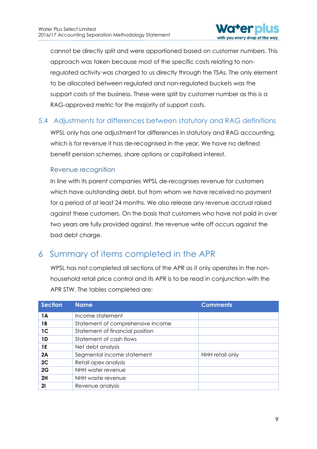

cannot be directly split and were apportioned based on customer numbers. This approach was taken because most of the specific costs relating to nonregulated activity was charged to us directly through the TSAs. The only element to be allocated between regulated and non-regulated buckets was the support costs of the business. These were split by customer number as this is a RAG-approved metric for the majority of support costs.

# <span id="page-9-0"></span>5.4 Adjustments for differences between statutory and RAG definitions

WPSL only has one adjustment for differences in statutory and RAG accounting, which is for revenue it has de-recognised in the year. We have no defined benefit pension schemes, share options or capitalised interest.

#### Revenue recognition

In line with its parent companies WPSL de-recognises revenue for customers which have outstanding debt, but from whom we have received no payment for a period of at least 24 months. We also release any revenue accrual raised against these customers. On the basis that customers who have not paid in over two years are fully provided against, the revenue write off occurs against the bad debt charge.

# <span id="page-9-1"></span>6 Summary of items completed in the APR

WPSL has not completed all sections of the APR as it only operates in the nonhousehold retail price control and its APR is to be read in conjunction with the APR STW. The tables completed are:

| <b>Section</b> | <b>Name</b>                       | <b>Comments</b> |
|----------------|-----------------------------------|-----------------|
| 1A             | Income statement                  |                 |
| 1 B            | Statement of comprehensive income |                 |
| 1 <sup>C</sup> | Statement of financial position   |                 |
| 1D             | Statement of cash flows           |                 |
| 1E             | Net debt analysis                 |                 |
| 2A             | Segmental income statement        | NHH retail only |
| 2C             | Retail opex analysis              |                 |
| 2G             | NHH water revenue                 |                 |
| 2H             | NHH waste revenue                 |                 |
| 21             | Revenue analysis                  |                 |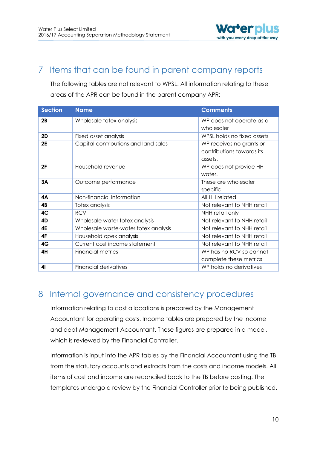

# <span id="page-10-0"></span>7 Items that can be found in parent company reports

The following tables are not relevant to WPSL. All information relating to these areas of the APR can be found in the parent company APR:

| <b>Section</b> | <b>Name</b>                          | <b>Comments</b>                                                  |
|----------------|--------------------------------------|------------------------------------------------------------------|
| 2B             | Wholesale totex analysis             | WP does not operate as a<br>wholesaler                           |
| <b>2D</b>      | Fixed asset analysis                 | WPSL holds no fixed assets                                       |
| <b>2E</b>      | Capital contributions and land sales | WP receives no grants or<br>contributions towards its<br>assets. |
| 2F             | Household revenue                    | WP does not provide HH<br>water.                                 |
| 3A             | Outcome performance                  | These are wholesaler<br>specific                                 |
| 4А             | Non-financial information            | All HH related                                                   |
| 4B             | Totex analysis                       | Not relevant to NHH retail                                       |
| 4C             | <b>RCV</b>                           | NHH retail only                                                  |
| 4D             | Wholesale water totex analysis       | Not relevant to NHH retail                                       |
| 4E             | Wholesale waste-water totex analysis | Not relevant to NHH retail                                       |
| 4F             | Household opex analysis              | Not relevant to NHH retail                                       |
| 4G             | Current cost income statement        | Not relevant to NHH retail                                       |
| 4H             | Financial metrics                    | WP has no RCV so cannot<br>complete these metrics                |
| 41             | <b>Financial derivatives</b>         | WP holds no derivatives                                          |

# <span id="page-10-1"></span>8 Internal governance and consistency procedures

Information relating to cost allocations is prepared by the Management Accountant for operating costs. Income tables are prepared by the income and debt Management Accountant. These figures are prepared in a model, which is reviewed by the Financial Controller.

Information is input into the APR tables by the Financial Accountant using the TB from the statutory accounts and extracts from the costs and income models. All items of cost and income are reconciled back to the TB before posting. The templates undergo a review by the Financial Controller prior to being published.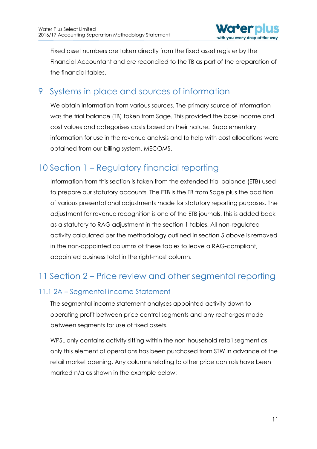

Fixed asset numbers are taken directly from the fixed asset register by the Financial Accountant and are reconciled to the TB as part of the preparation of the financial tables.

# <span id="page-11-0"></span>9 Systems in place and sources of information

We obtain information from various sources. The primary source of information was the trial balance (TB) taken from Sage. This provided the base income and cost values and categorises costs based on their nature. Supplementary information for use in the revenue analysis and to help with cost allocations were obtained from our billing system, MECOMS.

# <span id="page-11-1"></span>10 Section 1 – Regulatory financial reporting

Information from this section is taken from the extended trial balance (ETB) used to prepare our statutory accounts. The ETB is the TB from Sage plus the addition of various presentational adjustments made for statutory reporting purposes. The adjustment for revenue recognition is one of the ETB journals, this is added back as a statutory to RAG adjustment in the section 1 tables. All non-regulated activity calculated per the methodology outlined in section 5 above is removed in the non-appointed columns of these tables to leave a RAG-compliant, appointed business total in the right-most column.

# <span id="page-11-2"></span>11 Section 2 – Price review and other segmental reporting

# <span id="page-11-3"></span>11.1 2A – Segmental income Statement

The segmental income statement analyses appointed activity down to operating profit between price control segments and any recharges made between segments for use of fixed assets.

WPSL only contains activity sitting within the non-household retail segment as only this element of operations has been purchased from STW in advance of the retail market opening. Any columns relating to other price controls have been marked n/a as shown in the example below: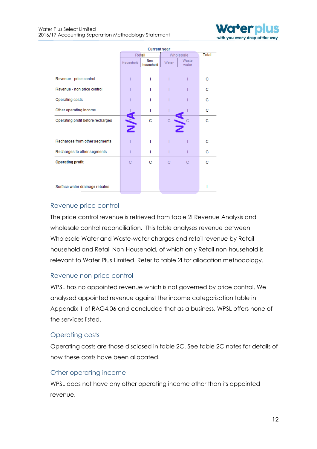

|                                   | <b>Current year</b> |                   |           |                |   |
|-----------------------------------|---------------------|-------------------|-----------|----------------|---|
|                                   | Retail              |                   | Wholesale | Total          |   |
|                                   | Household           | Non-<br>household | Water     | Waste<br>water |   |
|                                   |                     |                   |           |                |   |
| Revenue - price control           |                     | ı                 |           |                | с |
| Revenue - non price control       |                     |                   |           |                | с |
| Operating costs                   |                     |                   |           |                | с |
| Other operating income            |                     | ı                 |           |                | с |
| Operating profit before recharges | <b>AVA</b>          | c                 |           |                | c |
|                                   |                     |                   |           |                |   |
| Recharges from other segments     |                     | ı                 |           |                | с |
| Recharges to other segments       |                     | ı                 |           |                | с |
| <b>Operating profit</b>           | C                   | с                 | C         | С              | c |
|                                   |                     |                   |           |                |   |
|                                   |                     |                   |           |                |   |
| Surface water drainage rebates    |                     |                   |           |                | ı |

#### Revenue price control

The price control revenue is retrieved from table 2I Revenue Analysis and wholesale control reconciliation. This table analyses revenue between Wholesale Water and Waste-water charges and retail revenue by Retail household and Retail Non-Household, of which only Retail non-household is relevant to Water Plus Limited. Refer to table 2I for allocation methodology.

#### Revenue non-price control

WPSL has no appointed revenue which is not governed by price control. We analysed appointed revenue against the income categorisation table in Appendix 1 of RAG4.06 and concluded that as a business, WPSL offers none of the services listed.

#### Operating costs

Operating costs are those disclosed in table 2C. See table 2C notes for details of how these costs have been allocated.

#### Other operating income

WPSL does not have any other operating income other than its appointed revenue.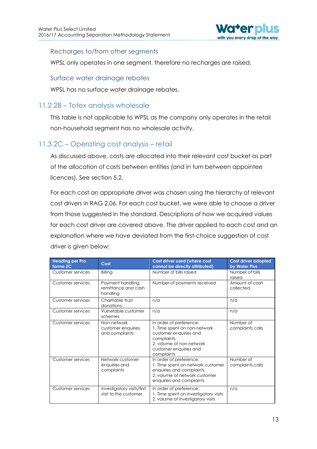

#### Recharges to/from other segments

WPSL only operates in one segment, therefore no recharges are raised.

#### Surface water drainage rebates

WPSL has no surface water drainage rebates.

## <span id="page-13-0"></span>11.2 2B – Totex analysis wholesale

This table is not applicable to WPSL as the company only operates in the retail non-household segment has no wholesale activity.

# <span id="page-13-1"></span>11.3 2C – Operating cost analysis – retail

As discussed above, costs are allocated into their relevant cost bucket as part of the allocation of costs between entities (and in turn between appointee licences). See section 5.2.

For each cost an appropriate driver was chosen using the hierarchy of relevant cost drivers in RAG 2.06. For each cost bucket, we were able to choose a driver from those suggested in the standard. Descriptions of how we acquired values for each cost driver are covered above. The driver applied to each cost and an explanation where we have deviated from the first-choice suggestion of cost driver is given below:

| <b>Heading per Pro</b><br>forma <sub>2C</sub> | Cost                                                 | Cost driver used (where cost<br>cannot be directly attributed)                                                                                                       | Cost driver adopted<br>by Water Plus |
|-----------------------------------------------|------------------------------------------------------|----------------------------------------------------------------------------------------------------------------------------------------------------------------------|--------------------------------------|
| Customer services                             | Billing                                              | Number of bills raised                                                                                                                                               | Number of bills<br>raised            |
| Customer services                             | Payment handling,<br>remittance and cash<br>handling | Number of payments received                                                                                                                                          | Amount of cash<br>collected          |
| Customer services                             | Charitable trust<br>donations                        | n/a                                                                                                                                                                  | n/a                                  |
| Customer services                             | Vulnerable customer<br>schemes                       | n/a                                                                                                                                                                  | n/a                                  |
| Customer services                             | Non-network<br>customer enquiries<br>and complaints  | In order of preference:<br>1. Time spent on non-network<br>customer enquiries and<br>complaints.<br>2. volume of non-network<br>customer enquiries and<br>complaints | Number of<br>complaints calls        |
| Customer services                             | Network customer<br>enquiries and<br>complaints      | In order of preference:<br>1. Time spent on network customer<br>enquiries and complaints.<br>2. volume of network customer<br>enquiries and complaints               | Number of<br>complaints calls        |
| Customer services                             | Investigatory visits/first<br>visit to the customer  | In order of preference:<br>1. Time spent on investigatory visits<br>2. volume of investigatory visits                                                                | n/a                                  |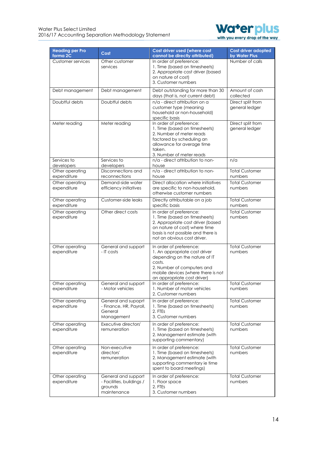

| <b>Heading per Pro</b><br>forma <sub>2C</sub> | Cost                                                                       | Cost driver used (where cost<br>cannot be directly attributed)                                                                                                                                         | <b>Cost driver adopted</b><br>by Water Plus |
|-----------------------------------------------|----------------------------------------------------------------------------|--------------------------------------------------------------------------------------------------------------------------------------------------------------------------------------------------------|---------------------------------------------|
| <b>Customer services</b>                      | Other customer<br>services                                                 | In order of preference:<br>1. Time (based on timesheets)<br>2. Appropriate cost driver (based<br>on nature of cost)<br>3. Customer numbers                                                             | Number of calls                             |
| Debt management                               | Debt management                                                            | Debt outstanding for more than 30<br>days (that is, not current debt)                                                                                                                                  | Amount of cash<br>collected                 |
| Doubtful debts                                | Doubtful debts                                                             | n/a - direct attribution on a<br>customer type (meaning<br>household or non-household)<br>specific basis                                                                                               | Direct split from<br>general ledger         |
| Meter reading                                 | Meter reading                                                              | In order of preference:<br>1. Time (based on timesheets)<br>2. Number of meter reads<br>factored by scheduling an<br>allowance for average time<br>taken.<br>3. Number of meter reads                  | Direct split from<br>general ledger         |
| Services to<br>developers                     | Services to<br>developers                                                  | n/a - direct attribution to non-<br>house                                                                                                                                                              | n/a                                         |
| Other operating<br>expenditure                | Disconnections and<br>reconnections                                        | n/a - direct attribution to non-<br>house                                                                                                                                                              | <b>Total Customer</b><br>numbers            |
| Other operating<br>expenditure                | Demand-side water<br>efficiency initiatives                                | Direct allocation where initiatives<br>are specific to non-household,<br>otherwise customer numbers                                                                                                    | <b>Total Customer</b><br>numbers            |
| Other operating<br>expenditure                | Customer-side leaks                                                        | Directly attributable on a job<br>specific basis                                                                                                                                                       | <b>Total Customer</b><br>numbers            |
| Other operating<br>expenditure                | Other direct costs                                                         | In order of preference:<br>1. Time (based on timesheets)<br>2. Appropriate cost driver (based<br>on nature of cost) where time<br>basis is not possible and there is<br>not an obvious cost driver.    | <b>Total Customer</b><br>numbers            |
| Other operating<br>expenditure                | General and support<br>- IT costs                                          | In order of preference:<br>1. An appropriate cost driver<br>depending on the nature of IT<br>costs.<br>2. Number of computers and<br>mobile devices (where there is not<br>an appropriate cost driver) | <b>Total Customer</b><br>numbers            |
| Other operating<br>expenditure                | General and support<br>- Motor vehicles                                    | In order of preference:<br>1. Number of motor vehicles<br>2. Customer numbers                                                                                                                          | <b>Total Customer</b><br>numbers            |
| Other operating<br>expenditure                | General and supoprt<br>- Finance, HR, Payroll,<br>General<br>Management    | In order of preference:<br>1. Time (based on timesheets)<br>2. FTEs<br>3. Customer numbers                                                                                                             | <b>Total Customer</b><br>numbers            |
| Other operating<br>expenditure                | Executive directors'<br>remuneration                                       | In order of preference:<br>1. Time (based on timesheets)<br>2. Management estimate (with<br>supporting commentary)                                                                                     | <b>Total Customer</b><br>numbers            |
| Other operating<br>expenditure                | Non-executive<br>directors'<br>remuneration                                | In order of preference:<br>1. Time (based on timesheets)<br>2. Management estimate (with<br>supporting commentary ie time<br>spent to board meetings)                                                  | Total Customer<br>numbers                   |
| Other operating<br>expenditure                | General and support<br>- Facilities, buildings /<br>grounds<br>maintenance | In order of preference:<br>1. Floor space<br>2. FTEs<br>3. Customer numbers                                                                                                                            | <b>Total Customer</b><br>numbers            |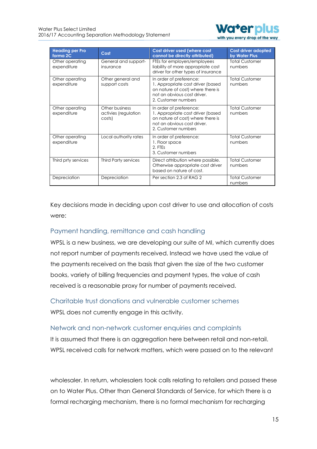

| <b>Heading per Pro</b><br>forma <sub>2C</sub> | Cost                                             | Cost driver used (where cost<br>cannot be directly attributed)                                                                                          | Cost driver adopted<br>by Water Plus |
|-----------------------------------------------|--------------------------------------------------|---------------------------------------------------------------------------------------------------------------------------------------------------------|--------------------------------------|
| Other operating<br>expenditure                | General and support-<br>insurance                | FTEs for employers/employees<br>liability of more appropriate cost<br>driver for other types of insurance                                               | <b>Total Customer</b><br>numbers     |
| Other operating<br>expenditure                | Other general and<br>support costs               | In order of preference:<br>1. Appropriate cost driver (based<br>on nature of cost) where there is<br>not an obvious cost driver.<br>2. Customer numbers | <b>Total Customer</b><br>numbers     |
| Other operating<br>expenditure                | Other business<br>activies (regulation<br>costs) | In order of preference:<br>1. Appropriate cost driver (based<br>on nature of cost) where there is<br>not an obvious cost driver.<br>2. Customer numbers | <b>Total Customer</b><br>numbers     |
| Other operating<br>expenditure                | Local authority rates                            | In order of preference:<br>1. Floor space<br>2. FTEs<br>3. Customer numbers                                                                             | <b>Total Customer</b><br>numbers     |
| Third prty services                           | <b>Third Party services</b>                      | Direct attribution where possible.<br>Otherwise appropriate cost driver<br>based on nature of cost.                                                     | <b>Total Customer</b><br>numbers     |
| Depreciation                                  | Depreciation                                     | Per section 2.3 of RAG 2                                                                                                                                | <b>Total Customer</b><br>numbers     |

Key decisions made in deciding upon cost driver to use and allocation of costs were:

### Payment handling, remittance and cash handling

WPSL is a new business, we are developing our suite of MI, which currently does not report number of payments received. Instead we have used the value of the payments received on the basis that given the size of the two customer books, variety of billing frequencies and payment types, the value of cash received is a reasonable proxy for number of payments received.

Charitable trust donations and vulnerable customer schemes WPSL does not currently engage in this activity.

Network and non-network customer enquiries and complaints It is assumed that there is an aggregation here between retail and non-retail. WPSL received calls for network matters, which were passed on to the relevant

wholesaler. In return, wholesalers took calls relating to retailers and passed these on to Water Plus. Other than General Standards of Service, for which there is a formal recharging mechanism, there is no formal mechanism for recharging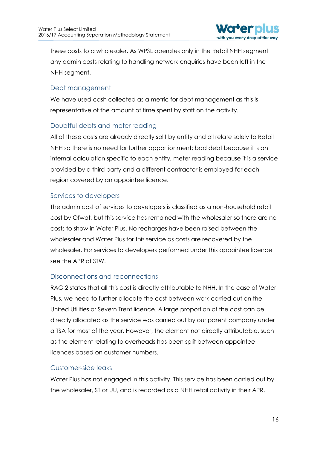

these costs to a wholesaler. As WPSL operates only in the Retail NHH segment any admin costs relating to handling network enquiries have been left in the NHH segment.

#### Debt management

We have used cash collected as a metric for debt management as this is representative of the amount of time spent by staff on the activity.

# Doubtful debts and meter reading

All of these costs are already directly split by entity and all relate solely to Retail NHH so there is no need for further apportionment; bad debt because it is an internal calculation specific to each entity, meter reading because it is a service provided by a third party and a different contractor is employed for each region covered by an appointee licence.

#### Services to developers

The admin cost of services to developers is classified as a non-household retail cost by Ofwat, but this service has remained with the wholesaler so there are no costs to show in Water Plus. No recharges have been raised between the wholesaler and Water Plus for this service as costs are recovered by the wholesaler. For services to developers performed under this appointee licence see the APR of STW.

### Disconnections and reconnections

RAG 2 states that all this cost is directly attributable to NHH. In the case of Water Plus, we need to further allocate the cost between work carried out on the United Utilities or Severn Trent licence. A large proportion of the cost can be directly allocated as the service was carried out by our parent company under a TSA for most of the year. However, the element not directly attributable, such as the element relating to overheads has been split between appointee licences based on customer numbers.

#### Customer-side leaks

Water Plus has not engaged in this activity. This service has been carried out by the wholesaler, ST or UU, and is recorded as a NHH retail activity in their APR.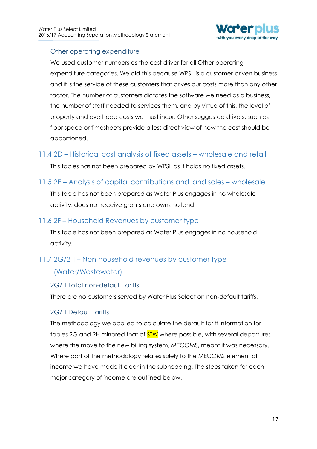

## Other operating expenditure

We used customer numbers as the cost driver for all Other operating expenditure categories. We did this because WPSL is a customer-driven business and it is the service of these customers that drives our costs more than any other factor. The number of customers dictates the software we need as a business, the number of staff needed to services them, and by virtue of this, the level of property and overhead costs we must incur. Other suggested drivers, such as floor space or timesheets provide a less direct view of how the cost should be apportioned.

# <span id="page-17-0"></span>11.4 2D – Historical cost analysis of fixed assets – wholesale and retail

This tables has not been prepared by WPSL as it holds no fixed assets.

<span id="page-17-1"></span>11.5 2E – Analysis of capital contributions and land sales – wholesale

This table has not been prepared as Water Plus engages in no wholesale activity, does not receive grants and owns no land.

# <span id="page-17-2"></span>11.6 2F – Household Revenues by customer type

This table has not been prepared as Water Plus engages in no household activity.

# <span id="page-17-3"></span>11.7 2G/2H – Non-household revenues by customer type

# (Water/Wastewater)

### 2G/H Total non-default tariffs

There are no customers served by Water Plus Select on non-default tariffs.

### 2G/H Default tariffs

The methodology we applied to calculate the default tariff information for tables 2G and 2H mirrored that of **STW** where possible, with several departures where the move to the new billing system, MECOMS, meant it was necessary. Where part of the methodology relates solely to the MECOMS element of income we have made it clear in the subheading. The steps taken for each major category of income are outlined below.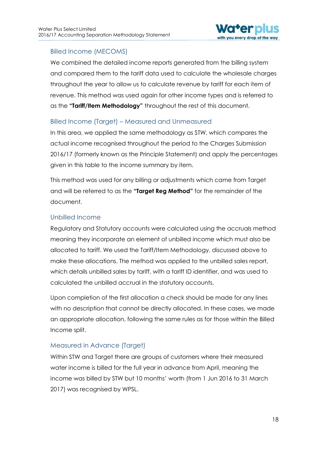

## Billed Income (MECOMS)

We combined the detailed income reports generated from the billing system and compared them to the tariff data used to calculate the wholesale charges throughout the year to allow us to calculate revenue by tariff for each item of revenue. This method was used again for other income types and is referred to as the **"Tariff/Item Methodology"** throughout the rest of this document.

### Billed Income (Target) – Measured and Unmeasured

In this area, we applied the same methodology as STW, which compares the actual income recognised throughout the period to the Charges Submission 2016/17 (formerly known as the Principle Statement) and apply the percentages given in this table to the income summary by item.

This method was used for any billing or adjustments which came from Target and will be referred to as the **"Target Reg Method"** for the remainder of the document.

### Unbilled Income

Regulatory and Statutory accounts were calculated using the accruals method meaning they incorporate an element of unbilled income which must also be allocated to tariff. We used the Tariff/Item Methodology, discussed above to make these allocations. The method was applied to the unbilled sales report, which details unbilled sales by tariff, with a tariff ID identifier, and was used to calculated the unbilled accrual in the statutory accounts.

Upon completion of the first allocation a check should be made for any lines with no description that cannot be directly allocated. In these cases, we made an appropriate allocation, following the same rules as for those within the Billed Income split.

### Measured in Advance (Target)

Within STW and Target there are groups of customers where their measured water income is billed for the full year in advance from April, meaning the income was billed by STW but 10 months' worth (from 1 Jun 2016 to 31 March 2017) was recognised by WPSL.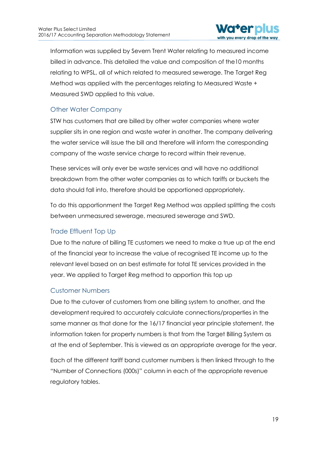

Information was supplied by Severn Trent Water relating to measured income billed in advance. This detailed the value and composition of the10 months relating to WPSL, all of which related to measured sewerage. The Target Reg Method was applied with the percentages relating to Measured Waste + Measured SWD applied to this value.

# Other Water Company

STW has customers that are billed by other water companies where water supplier sits in one region and waste water in another. The company delivering the water service will issue the bill and therefore will inform the corresponding company of the waste service charge to record within their revenue.

These services will only ever be waste services and will have no additional breakdown from the other water companies as to which tariffs or buckets the data should fall into, therefore should be apportioned appropriately.

To do this apportionment the Target Reg Method was applied splitting the costs between unmeasured sewerage, measured sewerage and SWD.

### Trade Effluent Top Up

Due to the nature of billing TE customers we need to make a true up at the end of the financial year to increase the value of recognised TE income up to the relevant level based on an best estimate for total TE services provided in the year. We applied to Target Reg method to apportion this top up

### Customer Numbers

Due to the cutover of customers from one billing system to another, and the development required to accurately calculate connections/properties in the same manner as that done for the 16/17 financial year principle statement, the information taken for property numbers is that from the Target Billing System as at the end of September. This is viewed as an appropriate average for the year.

Each of the different tariff band customer numbers is then linked through to the "Number of Connections (000s)" column in each of the appropriate revenue regulatory tables.